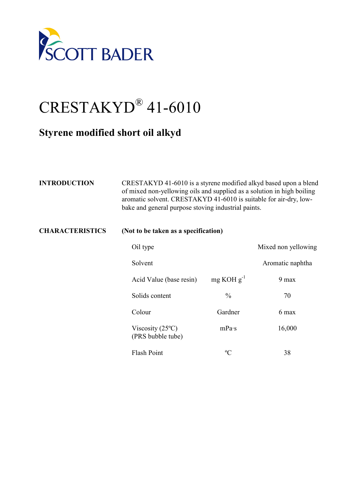

## CRESTAKYD® 41-6010

## **Styrene modified short oil alkyd**

| <b>INTRODUCTION</b>    | CRESTAKYD 41-6010 is a styrene modified alkyd based upon a blend<br>of mixed non-yellowing oils and supplied as a solution in high boiling<br>aromatic solvent. CRESTAKYD 41-6010 is suitable for air-dry, low-<br>bake and general purpose stoving industrial paints. |                 |                     |  |
|------------------------|------------------------------------------------------------------------------------------------------------------------------------------------------------------------------------------------------------------------------------------------------------------------|-----------------|---------------------|--|
| <b>CHARACTERISTICS</b> | (Not to be taken as a specification)                                                                                                                                                                                                                                   |                 |                     |  |
|                        | Oil type                                                                                                                                                                                                                                                               |                 | Mixed non yellowing |  |
|                        | Solvent                                                                                                                                                                                                                                                                |                 | Aromatic naphtha    |  |
|                        | Acid Value (base resin)                                                                                                                                                                                                                                                | $mg KOH g^{-1}$ | 9 max               |  |
|                        | Solids content                                                                                                                                                                                                                                                         | $\frac{0}{0}$   | 70                  |  |
|                        | Colour                                                                                                                                                                                                                                                                 | Gardner         | 6 max               |  |
|                        | Viscosity $(25^{\circ}C)$<br>(PRS bubble tube)                                                                                                                                                                                                                         | mPa·s           | 16,000              |  |
|                        | <b>Flash Point</b>                                                                                                                                                                                                                                                     | $\rm ^{o}C$     | 38                  |  |